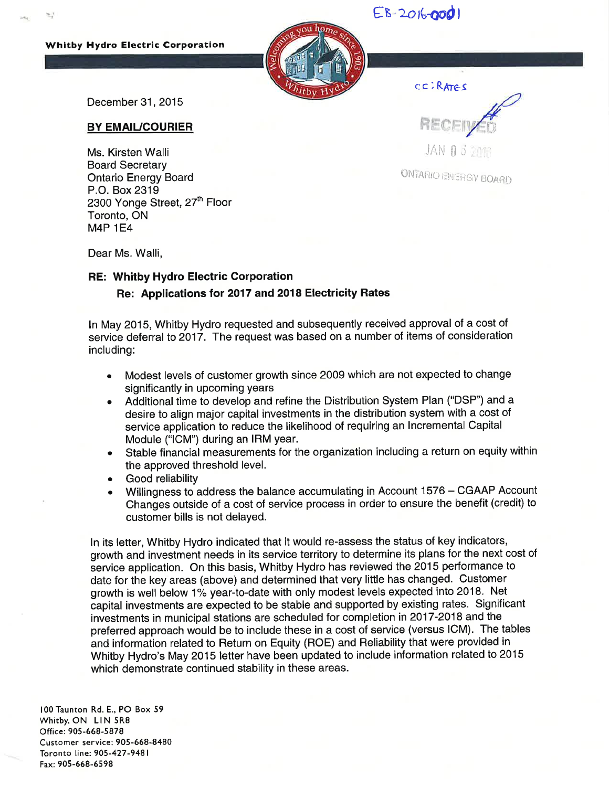## EB-2016-000

## Whitby Hydro Electric Corporatlon



cc I RAreS

December 31, 2015

## BY EMAIUCOURIER

Ms. Kirsten Walli Board Secretary Ontario Energy Board P.O. Box 2319 2300 Yonge Street, 27<sup>th</sup> Floor Toronto, ON M4P 1E4

 $\mathbb{F}_p$ JAN 0 3 2216

ON FARIO ENERGY BOARD

Dear Ms. Walli,

## RE: Whitby Hydro Electric Corporation Re: Applications tor 2O17 and 2018 Electricity Rates

ln May 2015, Whitby Hydro requested and subsequently received approval of a cost of service deferral to 2017. The request was based on a number of items of consideration including:

- . Modest levels of customer growth since 2009 which are not expected to change significantly in upcoming years
- . Additional time to develop and refine the Distribution System Plan ("DSP") and <sup>a</sup> desire to align major capital investments in the distribution system with a cost of service application to reduce the likelihood of requiring an lncremental Capital Module ("lCM") during an IRM year.
- . Stable financial measurements for the organization including a return on equity within the approved threshold level.
- . Good reliability
- Willingness to address the balance accumulating in Account 1576 CGAAP Account Changes outside of a cost of service process in order to ensure the benefit (credit) to customer bills is not delayed.

ln its letter, Whitby Hydro indicated that it would re-assess the status of key indicators, growth and investment needs in its service territory to determine its plans for the next cost of service application. On this basis, Whitby Hydro has reviewed the 2015 performance to date for the key areas (above) and determined that very little has changed. Customer growth is well below 1% year-to-date with only modest levels expected into 2018. Net capital investments are expected to be stable and supported by existing rates. Significant investments in municipal stations are scheduled for completion in 2017-2018 and the preferred approach would be to include these in a cost of service (versus ICM). The tables and information related to Return on Equity (ROE) and Reliability that were provided in Whitby Hydro's May 2015 letter have been updated to include information related to 2015 which demonstrate continued stability in these areas.

100 Taunton Rd. E., PO Box 59 Whitby, ON LIN 5R8 Office: 905-668-5878 Customer service: 905-668-8480 Toronto line: 905-427-9481 Fax: 905-668-6598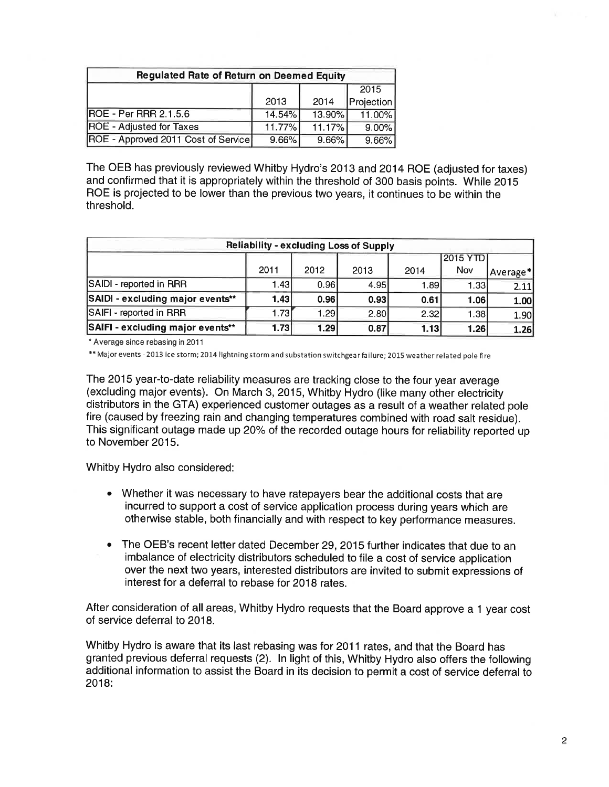| <b>Regulated Rate of Return on Deemed Equity</b> |          |          |            |  |  |  |  |
|--------------------------------------------------|----------|----------|------------|--|--|--|--|
|                                                  |          |          |            |  |  |  |  |
|                                                  | 2013     | 2014     | Projection |  |  |  |  |
| <b>ROE - Per RRR 2.1.5.6</b>                     | 14.54%   | 13.90%   | 11.00%     |  |  |  |  |
| <b>ROE</b> - Adjusted for Taxes                  | 11.77%   | 11.17%   | $9.00\%$   |  |  |  |  |
| ROE - Approved 2011 Cost of Service              | $9.66\%$ | $9.66\%$ | $9.66\%$   |  |  |  |  |

The OEB has previously reviewed Whitby Hydro's 2013 and 2014 ROE (adjusted for taxes) and confirmed that it is appropriately within the threshold of 300 basis points. While 2015 ROE is projected to be lower than the previous two years, it continues to be within the threshold.

| <b>Reliability - excluding Loss of Supply</b> |       |      |             |       |             |          |  |  |  |
|-----------------------------------------------|-------|------|-------------|-------|-------------|----------|--|--|--|
|                                               |       |      |             |       | 2015 YTD    |          |  |  |  |
|                                               | 2011  | 2012 | 2013        | 2014  | Nov         | Average* |  |  |  |
| SAIDI - reported in RRR                       | 1.43  | 0.96 | 4.95        | 1.89I | 1.331       | 2.11     |  |  |  |
| SAIDI - excluding major events**              | 1.43  | 0.96 | 0.93        | 0.61  | <b>1.06</b> | 1.00     |  |  |  |
| SAIFI - reported in RRR                       | 1.73I | 1.29 | <b>2.80</b> | 2.32  | 1.38        | 1.90     |  |  |  |
| SAIFI - excluding major events**              | 1.73  | 1.29 | 0.87        | 1.13  | 1.26        | 1.26     |  |  |  |

\* Average since rebasing in 201 <sup>1</sup>

\*\* Major events -2013 ice storm; 2014 lightning storm and substation switchgear failure; 2015 weather related pole fire

The 2015 year-to-date reliability measures are tracking close to the four year average (excluding major events). On March 3,2015, Whitby Hydro (like many other electricity distributors in the GTA) experienced customer outages as a result of a weather related pole fire (caused by freezing rain and changing temperatures combined with road salt residue). This significant outage made up 20% of the recorded outage hours for reliability reported up to November 2015.

Whitby Hydro also considered:

- Whether it was necessary to have ratepayers bear the additional costs that are a incurred to support a cost of service application process during years which are otherwise stable, both financially and with respect to key performance measures.
- The OEB's recent letter dated December 29,2015 further indicates that due to an imbalance of electricity distributors scheduled to file a cost of service application over the next two years, interested distributors are invited to submit expressions of interest for a deferral to rebase for 2018 rates. a

After consideration of all areas, Whitby Hydro requests that the Board approve a 1 year cost of service deferral to 2018.

Whitby Hydro is aware that its last rebasing was for 2011 rates, and that the Board has granted previous deferral requests (2). ln light of this, Whitby Hydro also offers the following additional information to assist the Board in its decision to permit a cost of service deferral to  $2018:$